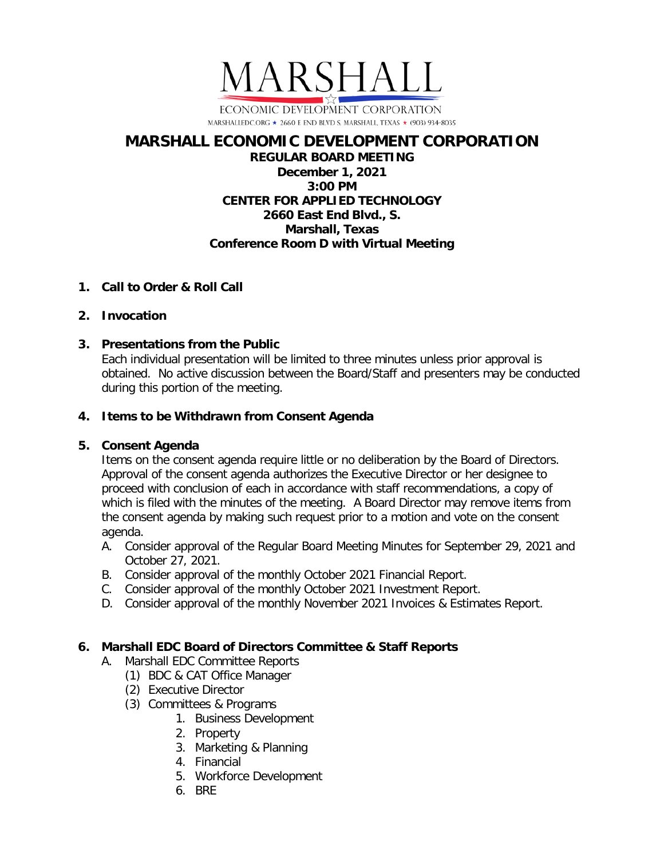

# **MARSHALL ECONOMIC DEVELOPMENT CORPORATION**

## **REGULAR BOARD MEETING December 1, 2021 3:00 PM CENTER FOR APPLIED TECHNOLOGY 2660 East End Blvd., S. Marshall, Texas Conference Room D with Virtual Meeting**

## **1. Call to Order & Roll Call**

## **2. Invocation**

# **3. Presentations from the Public**

Each individual presentation will be limited to three minutes unless prior approval is obtained. No active discussion between the Board/Staff and presenters may be conducted during this portion of the meeting.

## **4. Items to be Withdrawn from Consent Agenda**

# **5. Consent Agenda**

Items on the consent agenda require little or no deliberation by the Board of Directors. Approval of the consent agenda authorizes the Executive Director or her designee to proceed with conclusion of each in accordance with staff recommendations, a copy of which is filed with the minutes of the meeting. A Board Director may remove items from the consent agenda by making such request prior to a motion and vote on the consent agenda.

- A. Consider approval of the Regular Board Meeting Minutes for September 29, 2021 and October 27, 2021.
- B. Consider approval of the monthly October 2021 Financial Report.
- C. Consider approval of the monthly October 2021 Investment Report.
- D. Consider approval of the monthly November 2021 Invoices & Estimates Report.

# **6. Marshall EDC Board of Directors Committee & Staff Reports**

- A. Marshall EDC Committee Reports
	- (1) BDC & CAT Office Manager
	- (2) Executive Director
	- (3) Committees & Programs
		- 1. Business Development
		- 2. Property
		- 3. Marketing & Planning
		- 4. Financial
		- 5. Workforce Development
		- 6. BRE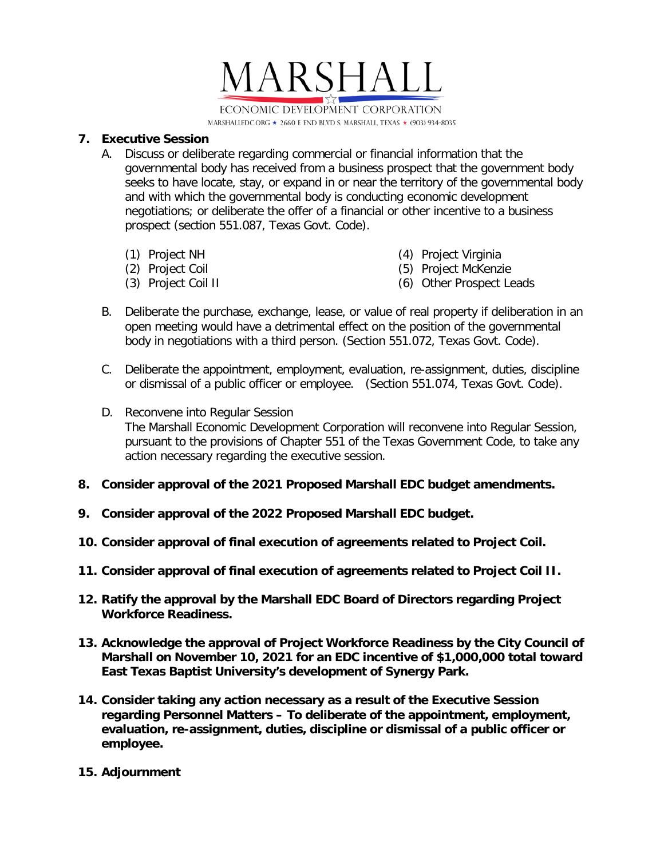

#### **7. Executive Session**

- A. Discuss or deliberate regarding commercial or financial information that the governmental body has received from a business prospect that the government body seeks to have locate, stay, or expand in or near the territory of the governmental body and with which the governmental body is conducting economic development negotiations; or deliberate the offer of a financial or other incentive to a business prospect (section 551.087, Texas Govt. Code).
	- (1) Project NH
	- (2) Project Coil
	- (3) Project Coil II
- (4) Project Virginia
- (5) Project McKenzie
- (6) Other Prospect Leads
- B. Deliberate the purchase, exchange, lease, or value of real property if deliberation in an open meeting would have a detrimental effect on the position of the governmental body in negotiations with a third person. (Section 551.072, Texas Govt. Code).
- C. Deliberate the appointment, employment, evaluation, re-assignment, duties, discipline or dismissal of a public officer or employee. (Section 551.074, Texas Govt. Code).
- D. Reconvene into Regular Session The Marshall Economic Development Corporation will reconvene into Regular Session, pursuant to the provisions of Chapter 551 of the Texas Government Code, to take any action necessary regarding the executive session.
- **8. Consider approval of the 2021 Proposed Marshall EDC budget amendments.**
- **9. Consider approval of the 2022 Proposed Marshall EDC budget.**
- **10. Consider approval of final execution of agreements related to Project Coil.**
- **11. Consider approval of final execution of agreements related to Project Coil II.**
- **12. Ratify the approval by the Marshall EDC Board of Directors regarding Project Workforce Readiness.**
- **13. Acknowledge the approval of Project Workforce Readiness by the City Council of Marshall on November 10, 2021 for an EDC incentive of \$1,000,000 total toward East Texas Baptist University's development of Synergy Park.**
- **14. Consider taking any action necessary as a result of the Executive Session regarding Personnel Matters – To deliberate of the appointment, employment, evaluation, re-assignment, duties, discipline or dismissal of a public officer or employee.**
- **15. Adjournment**